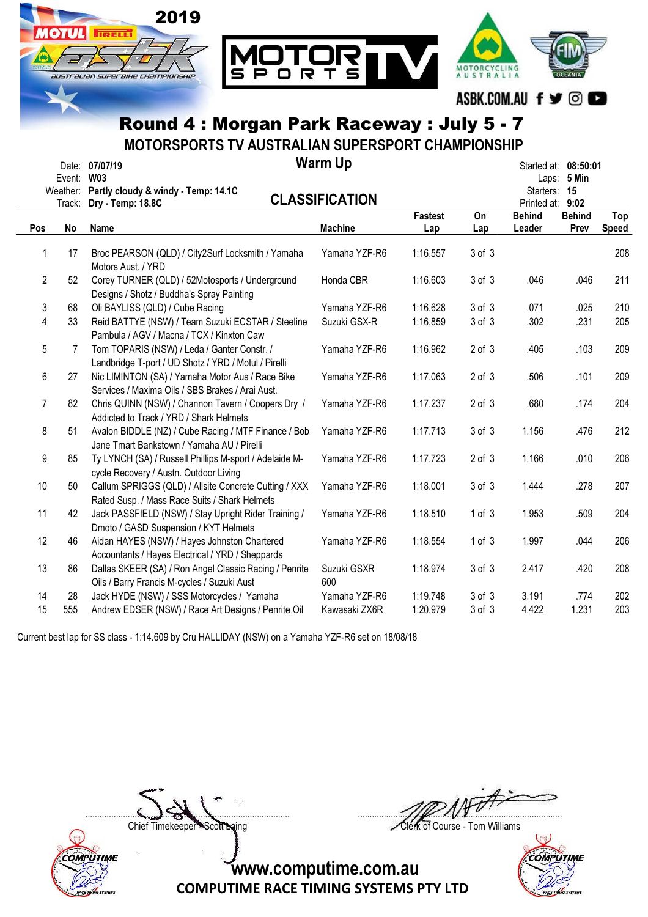

MOTORSPORTS TV AUSTRALIAN SUPERSPORT CHAMPIONSHIP

| Event:<br>Weather: |              | Date: 07/07/19<br><b>W03</b><br>Partly cloudy & windy - Temp: 14.1C                                    | <b>Warm Up</b><br><b>CLASSIFICATION</b> |                       |            |                                        | Started at: 08:50:01<br>Laps: 5 Min<br>15<br>Starters: |              |
|--------------------|--------------|--------------------------------------------------------------------------------------------------------|-----------------------------------------|-----------------------|------------|----------------------------------------|--------------------------------------------------------|--------------|
| Pos                | Track:<br>No | Dry - Temp: 18.8C<br>Name                                                                              | <b>Machine</b>                          | <b>Fastest</b><br>Lap | On<br>Lap  | Printed at:<br><b>Behind</b><br>Leader | 9:02<br><b>Behind</b><br>Prev                          | Top<br>Speed |
|                    |              |                                                                                                        |                                         |                       |            |                                        |                                                        |              |
| 1                  | 17           | Broc PEARSON (QLD) / City2Surf Locksmith / Yamaha<br>Motors Aust. / YRD                                | Yamaha YZF-R6                           | 1:16.557              | 3 of 3     |                                        |                                                        | 208          |
| 2                  | 52           | Corey TURNER (QLD) / 52Motosports / Underground<br>Designs / Shotz / Buddha's Spray Painting           | Honda CBR                               | 1:16.603              | 3 of 3     | .046                                   | .046                                                   | 211          |
| 3                  | 68           | Oli BAYLISS (QLD) / Cube Racing                                                                        | Yamaha YZF-R6                           | 1:16.628              | 3 of 3     | .071                                   | .025                                                   | 210          |
| 4                  | 33           | Reid BATTYE (NSW) / Team Suzuki ECSTAR / Steeline<br>Pambula / AGV / Macna / TCX / Kinxton Caw         | Suzuki GSX-R                            | 1:16.859              | 3 of 3     | .302                                   | .231                                                   | 205          |
| 5                  | 7            | Tom TOPARIS (NSW) / Leda / Ganter Constr. /<br>Landbridge T-port / UD Shotz / YRD / Motul / Pirelli    | Yamaha YZF-R6                           | 1:16.962              | $2$ of $3$ | .405                                   | .103                                                   | 209          |
| 6                  | 27           | Nic LIMINTON (SA) / Yamaha Motor Aus / Race Bike<br>Services / Maxima Oils / SBS Brakes / Arai Aust.   | Yamaha YZF-R6                           | 1:17.063              | $2$ of $3$ | .506                                   | .101                                                   | 209          |
| $\overline{7}$     | 82           | Chris QUINN (NSW) / Channon Tavern / Coopers Dry /<br>Addicted to Track / YRD / Shark Helmets          | Yamaha YZF-R6                           | 1:17.237              | $2$ of $3$ | .680                                   | .174                                                   | 204          |
| 8                  | 51           | Avalon BIDDLE (NZ) / Cube Racing / MTF Finance / Bob<br>Jane Tmart Bankstown / Yamaha AU / Pirelli     | Yamaha YZF-R6                           | 1:17.713              | 3 of 3     | 1.156                                  | .476                                                   | 212          |
| 9                  | 85           | Ty LYNCH (SA) / Russell Phillips M-sport / Adelaide M-<br>cycle Recovery / Austn. Outdoor Living       | Yamaha YZF-R6                           | 1:17.723              | $2$ of $3$ | 1.166                                  | .010                                                   | 206          |
| 10                 | 50           | Callum SPRIGGS (QLD) / Allsite Concrete Cutting / XXX<br>Rated Susp. / Mass Race Suits / Shark Helmets | Yamaha YZF-R6                           | 1:18.001              | $3$ of $3$ | 1.444                                  | .278                                                   | 207          |
| 11                 | 42           | Jack PASSFIELD (NSW) / Stay Upright Rider Training /<br>Dmoto / GASD Suspension / KYT Helmets          | Yamaha YZF-R6                           | 1:18.510              | 1 of 3     | 1.953                                  | .509                                                   | 204          |
| 12                 | 46           | Aidan HAYES (NSW) / Hayes Johnston Chartered<br>Accountants / Hayes Electrical / YRD / Sheppards       | Yamaha YZF-R6                           | 1:18.554              | 1 of 3     | 1.997                                  | .044                                                   | 206          |
| 13                 | 86           | Dallas SKEER (SA) / Ron Angel Classic Racing / Penrite<br>Oils / Barry Francis M-cycles / Suzuki Aust  | Suzuki GSXR<br>600                      | 1:18.974              | 3 of 3     | 2.417                                  | .420                                                   | 208          |
| 14                 | 28           | Jack HYDE (NSW) / SSS Motorcycles / Yamaha                                                             | Yamaha YZF-R6                           | 1:19.748              | 3 of 3     | 3.191                                  | .774                                                   | 202          |
| 15                 | 555          | Andrew EDSER (NSW) / Race Art Designs / Penrite Oil                                                    | Kawasaki ZX6R                           | 1:20.979              | 3 of 3     | 4.422                                  | 1.231                                                  | 203          |

Current best lap for SS class - 1:14.609 by Cru HALLIDAY (NSW) on a Yamaha YZF-R6 set on 18/08/18



....................................................................................... .......................................................................................

Chief Timekeeper - Scott Laing Clerk of Course - Tom Williams

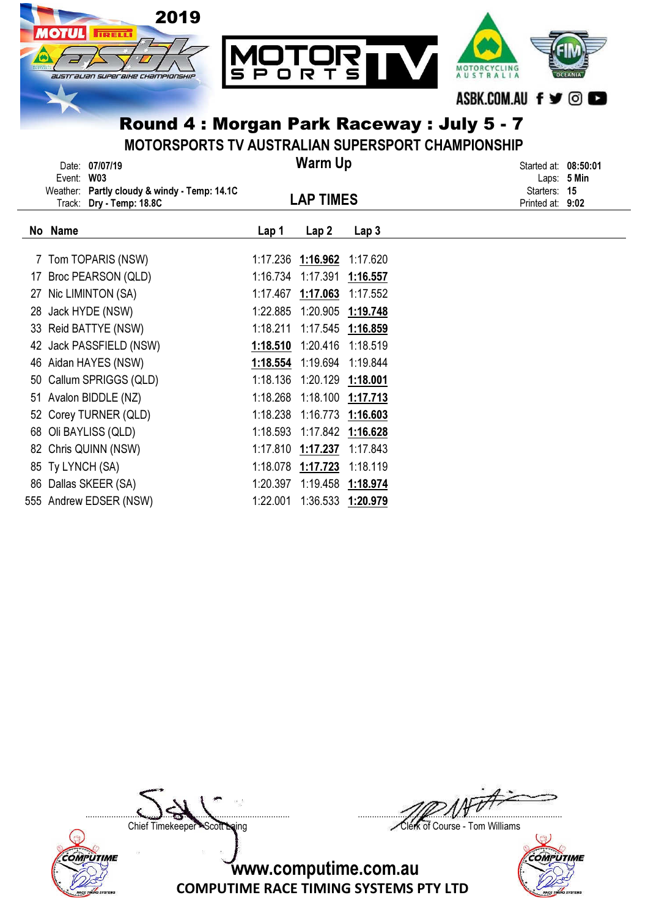

MOTORSPORTS TV AUSTRALIAN SUPERSPORT CHAMPIONSHIP

|    | Event:           | Date: 07/07/19<br><b>W03</b><br>Weather: Partly cloudy & windy - Temp: 14.1C<br>Track: Dry - Temp: 18.8C |          | <b>Warm Up</b><br><b>LAP TIMES</b> |                  | Started at: 08:50:01<br>Laps: 5 Min<br>Starters: 15<br>Printed at: 9:02 |  |
|----|------------------|----------------------------------------------------------------------------------------------------------|----------|------------------------------------|------------------|-------------------------------------------------------------------------|--|
|    | No Name          |                                                                                                          | Lap 1    | Lap <sub>2</sub>                   | Lap <sub>3</sub> |                                                                         |  |
|    |                  | 7 Tom TOPARIS (NSW)                                                                                      | 1:17.236 | 1:16.962                           | 1:17.620         |                                                                         |  |
| 17 |                  | Broc PEARSON (QLD)                                                                                       | 1:16.734 | 1:17.391                           | 1:16.557         |                                                                         |  |
| 27 |                  | Nic LIMINTON (SA)                                                                                        | 1:17.467 | 1:17.063                           | 1:17.552         |                                                                         |  |
| 28 |                  | Jack HYDE (NSW)                                                                                          | 1:22.885 | 1:20.905                           | 1:19.748         |                                                                         |  |
| 33 |                  | Reid BATTYE (NSW)                                                                                        | 1:18.211 | 1:17.545                           | 1:16.859         |                                                                         |  |
| 42 |                  | Jack PASSFIELD (NSW)                                                                                     | 1:18.510 | 1:20.416                           | 1:18.519         |                                                                         |  |
|    |                  | 46 Aidan HAYES (NSW)                                                                                     | 1:18.554 | 1:19.694                           | 1:19.844         |                                                                         |  |
| 50 |                  | Callum SPRIGGS (QLD)                                                                                     | 1:18.136 | 1:20.129                           | 1:18.001         |                                                                         |  |
|    |                  | 51 Avalon BIDDLE (NZ)                                                                                    | 1:18.268 | 1:18.100                           | 1:17.713         |                                                                         |  |
|    |                  | 52 Corey TURNER (QLD)                                                                                    | 1:18.238 | 1:16.773                           | 1:16.603         |                                                                         |  |
| 68 |                  | Oli BAYLISS (QLD)                                                                                        | 1:18.593 | 1:17.842                           | 1:16.628         |                                                                         |  |
|    |                  | 82 Chris QUINN (NSW)                                                                                     | 1:17.810 | 1:17.237                           | 1:17.843         |                                                                         |  |
|    | 85 Ty LYNCH (SA) |                                                                                                          | 1:18.078 | 1:17.723                           | 1:18.119         |                                                                         |  |
| 86 |                  | Dallas SKEER (SA)                                                                                        | 1:20.397 | 1:19.458                           | 1:18.974         |                                                                         |  |
|    |                  | 555 Andrew EDSER (NSW)                                                                                   | 1:22.001 | 1:36.533                           | 1:20.979         |                                                                         |  |



....................................................................................... .......................................................................................

Chief Timekeeper - Scott Laing Clerk of Course - Tom Williams

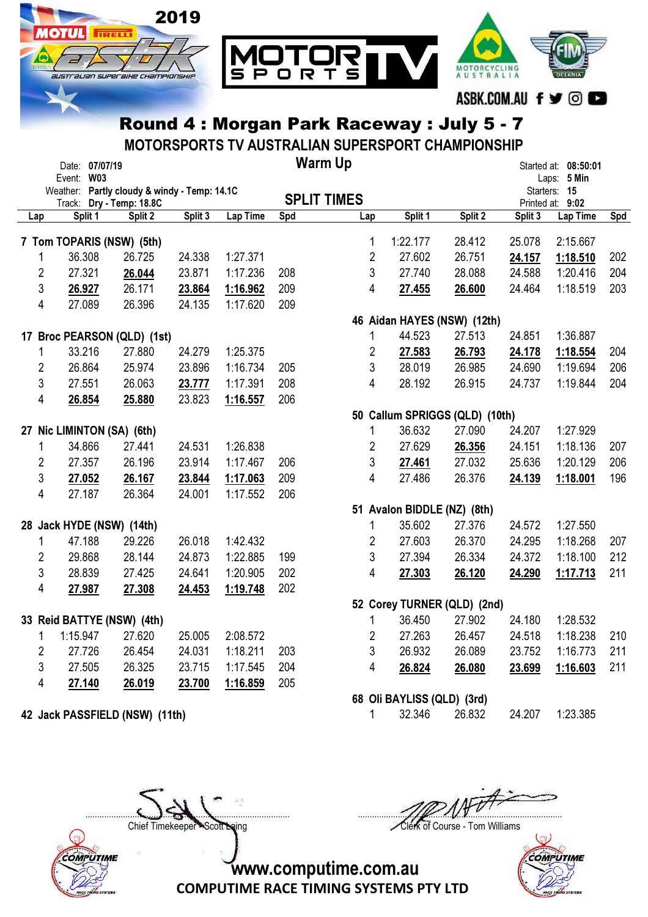

MOTORSPORTS TV AUSTRALIAN SUPERSPORT CHAMPIONSHIP

|                | Date: 07/07/19                                                           |         |         |          |     | <b>Warm Up</b>                                     |                                |         |                                           | Started at: 08:50:01 |     |
|----------------|--------------------------------------------------------------------------|---------|---------|----------|-----|----------------------------------------------------|--------------------------------|---------|-------------------------------------------|----------------------|-----|
|                | Event: W03                                                               |         |         |          |     |                                                    |                                |         |                                           | Laps: 5 Min          |     |
|                | Weather: Partly cloudy & windy - Temp: 14.1C<br>Track: Dry - Temp: 18.8C |         |         |          |     | <b>SPLIT TIMES</b>                                 |                                |         | Starters: 15<br>Printed at: 9:02          |                      |     |
| Lap            | Split 1                                                                  | Split 2 | Split 3 | Lap Time | Spd | Lap                                                | Split 1                        | Split 2 | Split 3                                   | Lap Time             | Spd |
|                | 7 Tom TOPARIS (NSW) (5th)                                                |         |         |          |     | 1                                                  | 1:22.177                       | 28.412  | 25.078                                    | 2:15.667             |     |
| 1              | 36.308                                                                   | 26.725  | 24.338  | 1:27.371 |     | $\overline{2}$                                     | 27.602                         | 26.751  | 24.157                                    | 1:18.510             | 202 |
| $\overline{2}$ | 27.321                                                                   | 26.044  | 23.871  | 1:17.236 | 208 | 3                                                  | 27.740                         | 28.088  | 24.588                                    | 1:20.416             | 204 |
| 3              | 26.927                                                                   | 26.171  | 23.864  | 1:16.962 | 209 | 4                                                  | 27.455                         | 26.600  | 24.464                                    | 1:18.519             | 203 |
| 4              | 27.089                                                                   | 26.396  | 24.135  | 1:17.620 | 209 |                                                    |                                |         |                                           |                      |     |
|                |                                                                          |         |         |          |     |                                                    | 46 Aidan HAYES (NSW) (12th)    |         |                                           |                      |     |
|                | 17 Broc PEARSON (QLD) (1st)                                              |         |         |          |     | $\mathbf{1}$                                       | 44.523                         | 27.513  | 24.851                                    | 1:36.887             |     |
| 1              | 33.216                                                                   | 27.880  | 24.279  | 1:25.375 |     | $\overline{2}$                                     | 27.583                         | 26.793  | 24.178                                    | 1:18.554             | 204 |
| $\overline{c}$ | 26.864                                                                   | 25.974  | 23.896  | 1:16.734 | 205 | 3                                                  | 28.019                         | 26.985  | 24.690                                    | 1:19.694             | 206 |
| 3              | 27.551                                                                   | 26.063  | 23.777  | 1:17.391 | 208 | 4                                                  | 28.192                         | 26.915  | 24.737                                    | 1:19.844             | 204 |
| 4              | 26.854                                                                   | 25.880  | 23.823  | 1:16.557 | 206 |                                                    |                                |         |                                           |                      |     |
|                |                                                                          |         |         |          |     |                                                    | 50 Callum SPRIGGS (QLD) (10th) |         |                                           |                      |     |
|                | 27 Nic LIMINTON (SA) (6th)                                               |         |         |          |     | 1                                                  | 36.632                         | 27.090  | 24.207                                    | 1:27.929             |     |
| 1              | 34.866                                                                   | 27.441  | 24.531  | 1:26.838 |     | $\overline{2}$                                     | 27.629                         | 26.356  | 24.151                                    | 1:18.136             | 207 |
| $\overline{2}$ | 27.357                                                                   | 26.196  | 23.914  | 1:17.467 | 206 | 3                                                  | 27.461                         | 27.032  | 25.636                                    | 1:20.129             | 206 |
| 3              | 27.052                                                                   | 26.167  | 23.844  | 1:17.063 | 209 | 4                                                  | 27.486                         | 26.376  | 24.139                                    | 1:18.001             | 196 |
| 4              | 27.187                                                                   | 26.364  | 24.001  | 1:17.552 | 206 |                                                    |                                |         |                                           |                      |     |
|                |                                                                          |         |         |          |     |                                                    | 51 Avalon BIDDLE (NZ) (8th)    |         |                                           |                      |     |
|                | 28 Jack HYDE (NSW) (14th)                                                |         |         |          |     | 1                                                  | 35.602                         | 27.376  | 24.572                                    | 1:27.550             |     |
| 1              | 47.188                                                                   | 29.226  | 26.018  | 1:42.432 |     | $\overline{2}$                                     | 27.603                         | 26.370  | 24.295                                    | 1:18.268             | 207 |
| 2              | 29.868                                                                   | 28.144  | 24.873  | 1:22.885 | 199 | $\mathfrak{S}$                                     | 27.394                         | 26.334  | 24.372                                    | 1:18.100             | 212 |
| 3              | 28.839                                                                   | 27.425  | 24.641  | 1:20.905 | 202 | 4                                                  | 27.303                         | 26.120  | 24.290                                    | 1:17.713             | 211 |
| 4              | 27.987                                                                   | 27.308  | 24.453  | 1:19.748 | 202 |                                                    |                                |         |                                           |                      |     |
|                |                                                                          |         |         |          |     | 52 Corey TURNER (QLD) (2nd)                        |                                |         |                                           |                      |     |
|                | 33 Reid BATTYE (NSW) (4th)                                               |         |         |          |     | 1                                                  | 36.450                         | 27.902  | 24.180                                    | 1:28.532             |     |
| 1              | 1:15.947                                                                 | 27.620  | 25.005  | 2:08.572 |     | $\overline{2}$                                     | 27.263                         | 26.457  | 24.518                                    | 1:18.238             | 210 |
| 2              | 27.726                                                                   | 26.454  | 24.031  | 1:18.211 | 203 | 3                                                  | 26.932                         | 26.089  | 23.752                                    | 1:16.773             | 211 |
| 3              | 27.505                                                                   | 26.325  | 23.715  | 1:17.545 | 204 | 4                                                  | 26.824                         | 26.080  | 23.699                                    | 1:16.603             | 211 |
| 4              | 27.140                                                                   | 26.019  | 23.700  | 1:16.859 | 205 |                                                    |                                |         |                                           |                      |     |
|                |                                                                          |         |         |          |     | 68 Oli BAYLISS (QLD) (3rd)<br>$\sim$ $\sim$ $\sim$ |                                |         | $\sim$ $\sim$ $\sim$ $\sim$ $\sim$ $\sim$ |                      |     |

**42 Jack PASSFIELD (NSW) (11th)** 1 32.346 26.832 24.207 1:23.385



....................................................................................... ....................................................................................... Chief Timekeeper - Scott Laing Clerk of Course - Tom Williams



www.computime.com.au

COMPUTIME RACE TIMING SYSTEMS PTY LTD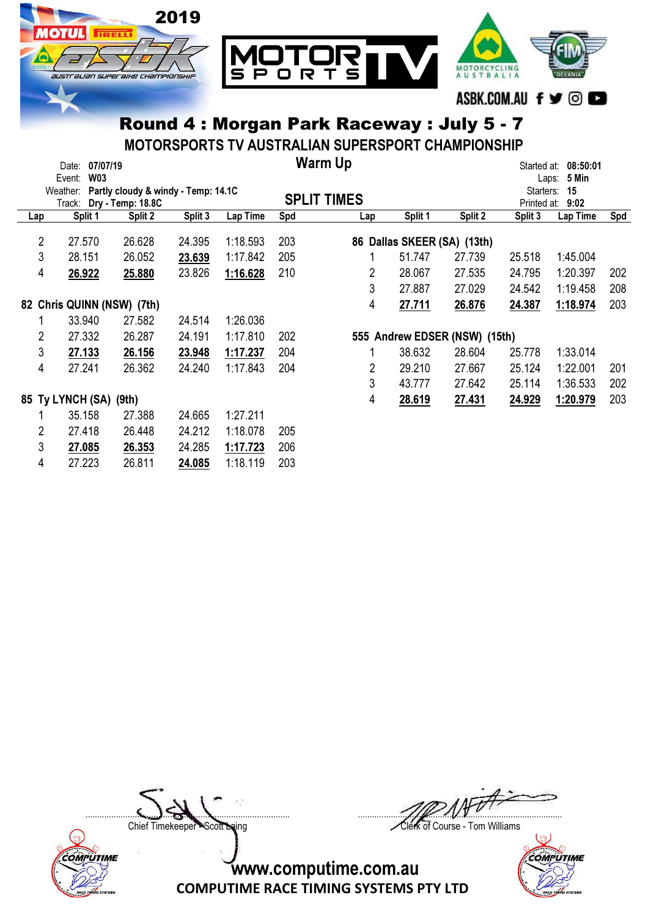

MOTORSPORTS TV AUSTRALIAN SUPERSPORT CHAMPIONSHIP

|                            | Date:                  | 07/07/19   |                          |                                     |          |        | <b>Warm Up</b>     |                          |                               | Started at: | 08:50:01       |     |
|----------------------------|------------------------|------------|--------------------------|-------------------------------------|----------|--------|--------------------|--------------------------|-------------------------------|-------------|----------------|-----|
|                            | Event:                 | <b>W03</b> |                          |                                     |          |        |                    |                          |                               |             | 5 Min<br>Laps: |     |
|                            | Weather:               |            |                          | Partly cloudy & windy - Temp: 14.1C |          |        | <b>SPLIT TIMES</b> |                          |                               | Starters:   | 15             |     |
|                            |                        |            | Track: Dry - Temp: 18.8C |                                     |          |        |                    |                          |                               | Printed at: | 9:02           |     |
| Lap                        | Split 1                |            | Split 2                  | Split 3                             | Lap Time | Spd    | Lap                | Split 1                  | Split 2                       | Split 3     | Lap Time       | Spd |
| 2                          | 27.570                 |            | 26.628                   | 24.395                              | 1:18.593 | 203    | 86                 | Dallas SKEER (SA) (13th) |                               |             |                |     |
| 3                          | 28.151                 |            | 26.052                   | 23.639                              | 1:17.842 | 205    |                    | 51.747                   | 27.739                        | 25.518      | 1:45.004       |     |
| 4                          | 26.922                 |            | 25.880                   | 23.826                              | 1:16.628 | 210    | 2                  | 28.067                   | 27.535                        | 24.795      | 1:20.397       | 202 |
|                            |                        |            |                          |                                     |          |        | 3                  | 27.887                   | 27.029                        | 24.542      | 1:19.458       | 208 |
| 82 Chris QUINN (NSW) (7th) |                        |            |                          |                                     | 4        | 27.711 | 26.876             | 24.387                   | 1:18.974                      | 203         |                |     |
|                            | 33.940                 |            | 27.582                   | 24.514                              | 1:26.036 |        |                    |                          |                               |             |                |     |
| 2                          | 27.332                 |            | 26.287                   | 24.191                              | 1:17.810 | 202    |                    |                          | 555 Andrew EDSER (NSW) (15th) |             |                |     |
| 3                          | 27.133                 |            | 26.156                   | 23.948                              | 1:17.237 | 204    |                    | 38.632                   | 28.604                        | 25.778      | 1:33.014       |     |
| 4                          | 27.241                 |            | 26.362                   | 24.240                              | 1:17.843 | 204    | 2                  | 29.210                   | 27.667                        | 25.124      | 1:22.001       | 201 |
|                            |                        |            |                          |                                     |          |        | 3                  | 43.777                   | 27.642                        | 25.114      | 1:36.533       | 202 |
|                            | 85 Ty LYNCH (SA) (9th) |            |                          |                                     |          |        | 4                  | 28.619                   | 27.431                        | 24.929      | 1:20.979       | 203 |
|                            | 35.158                 |            | 27.388                   | 24.665                              | 1:27.211 |        |                    |                          |                               |             |                |     |
| 2                          | 27.418                 |            | 26.448                   | 24.212                              | 1:18.078 | 205    |                    |                          |                               |             |                |     |
| 3                          | 27.085                 |            | 26.353                   | 24.285                              | 1:17.723 | 206    |                    |                          |                               |             |                |     |
| 4                          | 27.223                 |            | 26.811                   | 24.085                              | 1:18.119 | 203    |                    |                          |                               |             |                |     |



....................................................................................... .......................................................................................

Chief Timekeeper - Scott Laing Clerk of Course - Tom Williams

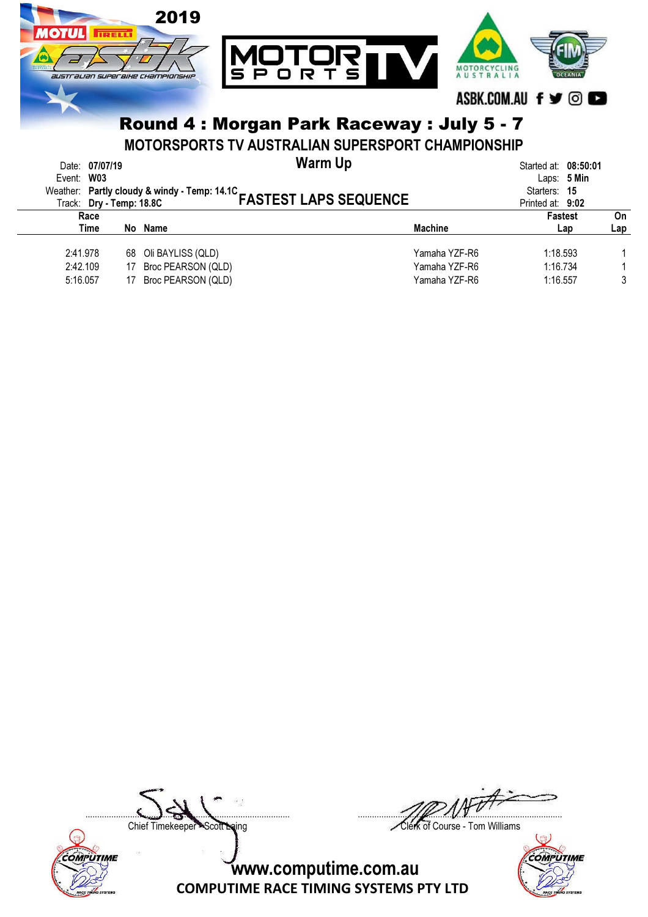

MOTORSPORTS TV AUSTRALIAN SUPERSPORT CHAMPIONSHIP

| Event: W03                       | Date: 07/07/19 |          |                                                                  | Warm Up<br>Weather: Partly cloudy & windy - Temp: 14.1C<br>FASTEST LAPS SEQUENCE |                                                 | Started at: 08:50:01<br>Starters: 15<br>Printed at: 9:02 | Laps: $5$ Min         |           |
|----------------------------------|----------------|----------|------------------------------------------------------------------|----------------------------------------------------------------------------------|-------------------------------------------------|----------------------------------------------------------|-----------------------|-----------|
|                                  | Race<br>Time   |          | No Name                                                          |                                                                                  | <b>Machine</b>                                  |                                                          | <b>Fastest</b><br>Lap | On<br>Lap |
| 2:41.978<br>2:42.109<br>5:16.057 |                | 17<br>17 | 68 Oli BAYLISS (QLD)<br>Broc PEARSON (QLD)<br>Broc PEARSON (QLD) |                                                                                  | Yamaha YZF-R6<br>Yamaha YZF-R6<br>Yamaha YZF-R6 | 1:18.593<br>1:16.734<br>1:16.557                         |                       | 3         |



....................................................................................... .......................................................................................

Chief Timekeeper - Scott Laing Clerk of Course - Tom Williams

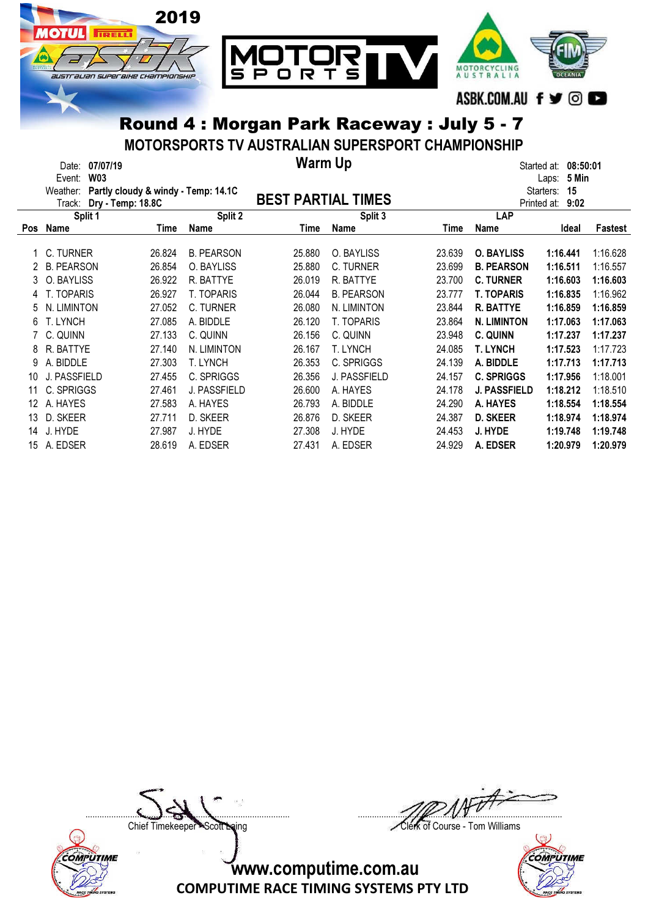

MOTORSPORTS TV AUSTRALIAN SUPERSPORT CHAMPIONSHIP

|            | Date:<br>Event:<br>Weather:<br>Track: | 07/07/19<br><b>W03</b><br>Partly cloudy & windy - Temp: 14.1C<br>Dry - Temp: 18.8C |        |                   | <b>Warm Up</b><br><b>BEST PARTIAL TIMES</b> |                   |        |                     | 08:50:01<br>Started at:<br>5 Min<br>Laps:<br>15<br>Starters:<br>9:02 |          |  |  |
|------------|---------------------------------------|------------------------------------------------------------------------------------|--------|-------------------|---------------------------------------------|-------------------|--------|---------------------|----------------------------------------------------------------------|----------|--|--|
|            |                                       | Split 1                                                                            |        | Split 2           |                                             | Split 3           |        | Printed at:<br>LAP  |                                                                      |          |  |  |
| <b>Pos</b> | Name                                  |                                                                                    | Time   | Name              | Time                                        | Name              | Time   | Name                | Ideal                                                                | Fastest  |  |  |
|            | C. TURNER                             |                                                                                    | 26.824 | <b>B. PEARSON</b> | 25.880                                      | O. BAYLISS        | 23.639 | <b>O. BAYLISS</b>   |                                                                      | 1:16.628 |  |  |
|            |                                       |                                                                                    |        |                   |                                             |                   |        |                     | 1:16.441                                                             |          |  |  |
|            | <b>B. PEARSON</b>                     |                                                                                    | 26.854 | O. BAYLISS        | 25.880                                      | C. TURNER         | 23.699 | <b>B. PEARSON</b>   | 1:16.511                                                             | 1:16.557 |  |  |
| 3          | O. BAYLISS                            |                                                                                    | 26.922 | R. BATTYE         | 26.019                                      | R. BATTYE         | 23.700 | <b>C. TURNER</b>    | 1:16.603                                                             | 1:16.603 |  |  |
| 4          | T. TOPARIS                            |                                                                                    | 26.927 | T. TOPARIS        | 26.044                                      | <b>B. PEARSON</b> | 23.777 | <b>T. TOPARIS</b>   | 1:16.835                                                             | 1:16.962 |  |  |
| 5          | N. LIMINTON                           |                                                                                    | 27.052 | C. TURNER         | 26.080                                      | N. LIMINTON       | 23.844 | <b>R. BATTYE</b>    | 1:16.859                                                             | 1:16.859 |  |  |
| 6          | T. LYNCH                              |                                                                                    | 27.085 | A. BIDDLE         | 26.120                                      | <b>T. TOPARIS</b> | 23.864 | <b>N. LIMINTON</b>  | 1:17.063                                                             | 1:17.063 |  |  |
|            | C. QUINN                              |                                                                                    | 27.133 | C. QUINN          | 26.156                                      | C. QUINN          | 23.948 | C. QUINN            | 1:17.237                                                             | 1:17.237 |  |  |
| 8          | R. BATTYE                             |                                                                                    | 27.140 | N. LIMINTON       | 26.167                                      | T. LYNCH          | 24.085 | T. LYNCH            | 1:17.523                                                             | 1:17.723 |  |  |
| 9          | A. BIDDLE                             |                                                                                    | 27,303 | <b>T. LYNCH</b>   | 26.353                                      | C. SPRIGGS        | 24.139 | A. BIDDLE           | 1:17.713                                                             | 1:17.713 |  |  |
| 10         | J. PASSFIELD                          |                                                                                    | 27.455 | C. SPRIGGS        | 26.356                                      | J. PASSFIELD      | 24.157 | <b>C. SPRIGGS</b>   | 1:17.956                                                             | 1:18.001 |  |  |
| 11         | C. SPRIGGS                            |                                                                                    | 27.461 | J. PASSFIELD      | 26.600                                      | A. HAYES          | 24.178 | <b>J. PASSFIELD</b> | 1:18.212                                                             | 1:18.510 |  |  |
| 12         | A. HAYES                              |                                                                                    | 27.583 | A. HAYES          | 26.793                                      | A. BIDDLE         | 24.290 | A. HAYES            | 1:18.554                                                             | 1:18.554 |  |  |
| 13         | D. SKEER                              |                                                                                    | 27.711 | D. SKEER          | 26.876                                      | D. SKEER          | 24.387 | <b>D. SKEER</b>     | 1:18.974                                                             | 1:18.974 |  |  |
| 14         | J. HYDE                               |                                                                                    | 27.987 | J. HYDE           | 27.308                                      | J. HYDE           | 24.453 | J. HYDE             | 1:19.748                                                             | 1:19.748 |  |  |
| 15         | A. EDSER                              |                                                                                    | 28.619 | A. EDSER          | 27.431                                      | A. EDSER          | 24.929 | A. EDSER            | 1:20.979                                                             | 1:20.979 |  |  |



....................................................................................... .......................................................................................

Chief Timekeeper - Scott Laing Clerk of Course - Tom Williams